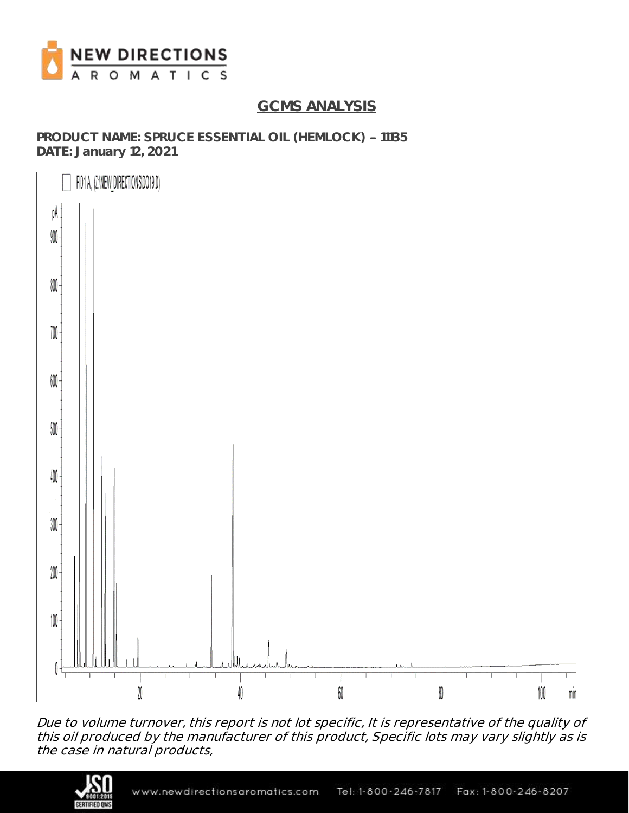

# **GCMS ANALYSIS**

PRODUCT NAME: SPRUCE ESSENTIAL OIL (HEMLOCK) - 11135 **DATE: January 12, 2021**



Due to volume turnover, this report is not lot specific, It is representative of the quality of this oil produced by the manufacturer of this product, Specific lots may vary slightly as is the case in natural products,

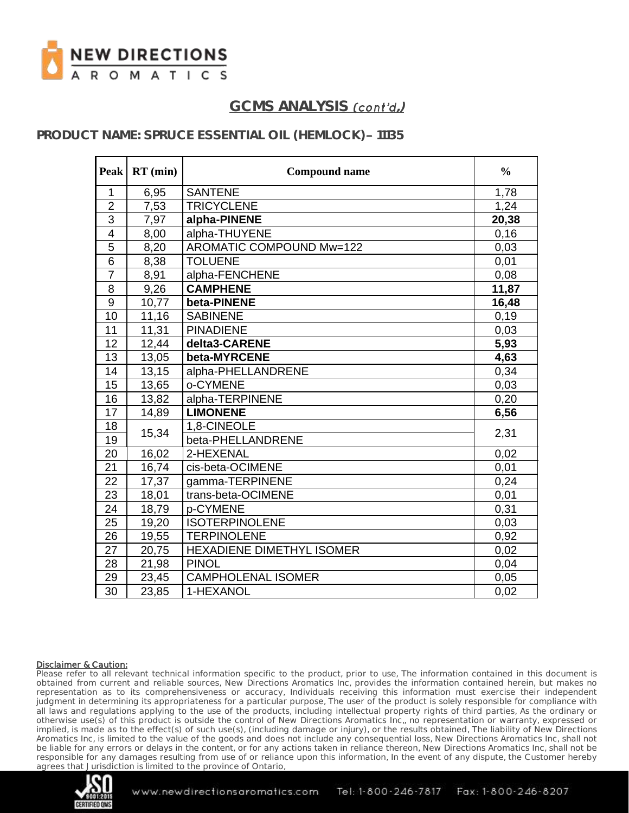

### PRODUCT NAME: SPRUCE ESSENTIAL OIL (HEMLOCK) - 11135

| <b>Peak</b>     | $RT$ (min) | <b>Compound name</b>            | $\frac{0}{0}$ |
|-----------------|------------|---------------------------------|---------------|
| $\mathbf{1}$    | 6,95       | <b>SANTENE</b>                  | 1,78          |
| $\overline{2}$  | 7,53       | <b>TRICYCLENE</b>               | 1,24          |
| $\overline{3}$  | 7,97       | alpha-PINENE                    | 20,38         |
| $\overline{4}$  | 8,00       | alpha-THUYENE                   | 0,16          |
| $\overline{5}$  | 8,20       | <b>AROMATIC COMPOUND Mw=122</b> | 0,03          |
| $6\phantom{1}6$ | 8,38       | <b>TOLUENE</b>                  | 0,01          |
| $\overline{7}$  | 8,91       | alpha-FENCHENE                  | 0,08          |
| 8               | 9,26       | <b>CAMPHENE</b>                 | 11,87         |
| 9               | 10,77      | beta-PINENE                     | 16,48         |
| 10              | 11,16      | <b>SABINENE</b>                 | 0,19          |
| 11              | 11,31      | <b>PINADIENE</b>                | 0,03          |
| 12              | 12,44      | delta3-CARENE                   | 5,93          |
| 13              | 13,05      | beta-MYRCENE                    | 4,63          |
| 14              | 13,15      | alpha-PHELLANDRENE              | 0,34          |
| 15              | 13,65      | o-CYMENE                        | 0,03          |
| 16              | 13,82      | alpha-TERPINENE                 | 0,20          |
| 17              | 14,89      | <b>LIMONENE</b>                 | 6,56          |
| 18              |            | 1,8-CINEOLE                     | 2,31          |
| 19              | 15,34      | beta-PHELLANDRENE               |               |
| 20              | 16,02      | 2-HEXENAL                       | 0,02          |
| 21              | 16,74      | cis-beta-OCIMENE                | 0,01          |
| 22              | 17,37      | gamma-TERPINENE                 | 0,24          |
| 23              | 18,01      | trans-beta-OCIMENE              | 0,01          |
| 24              | 18,79      | p-CYMENE                        | 0,31          |
| 25              | 19,20      | <b>ISOTERPINOLENE</b>           | 0,03          |
| 26              | 19,55      | <b>TERPINOLENE</b>              | 0,92          |
| 27              | 20,75      | HEXADIENE DIMETHYL ISOMER       | 0,02          |
| 28              | 21,98      | <b>PINOL</b>                    | 0,04          |
| 29              | 23,45      | <b>CAMPHOLENAL ISOMER</b>       | 0,05          |
| $\overline{30}$ | 23,85      | 1-HEXANOL                       | 0,02          |

### Disclaimer & Caution:

Please refer to all relevant technical information specific to the product, prior to use, The information contained in this document is obtained from current and reliable sources, New Directions Aromatics Inc, provides the information contained herein, but makes no representation as to its comprehensiveness or accuracy, Individuals receiving this information must exercise their independent judgment in determining its appropriateness for a particular purpose, The user of the product is solely responsible for compliance with all laws and regulations applying to the use of the products, including intellectual property rights of third parties, As the ordinary or otherwise use(s) of this product is outside the control of New Directions Aromatics Inc,, no representation or warranty, expressed or implied, is made as to the effect(s) of such use(s), (including damage or injury), or the results obtained, The liability of New Directions Aromatics Inc, is limited to the value of the goods and does not include any consequential loss, New Directions Aromatics Inc, shall not be liable for any errors or delays in the content, or for any actions taken in reliance thereon, New Directions Aromatics Inc, shall not be responsible for any damages resulting from use of or reliance upon this information, In the event of any dispute, the Customer hereby agrees that Jurisdiction is limited to the province of Ontario,

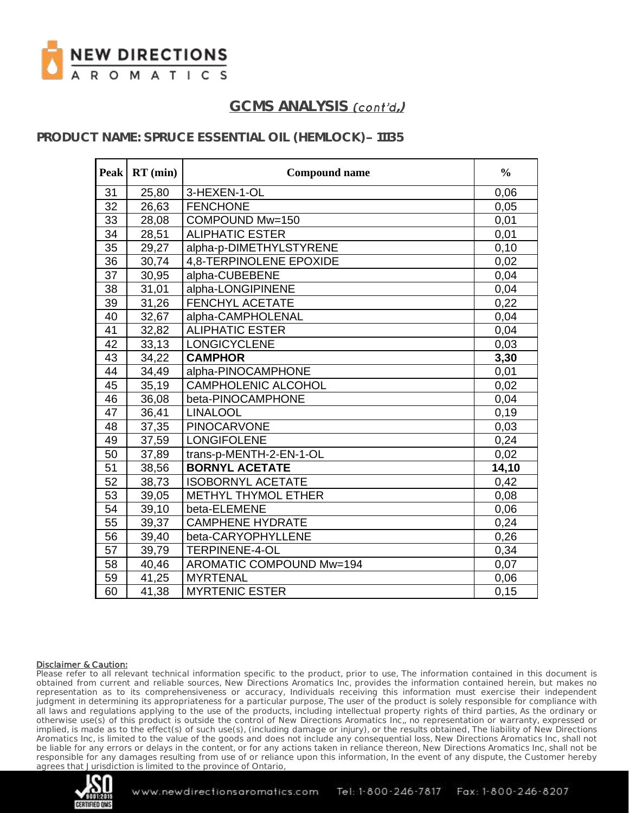

### **PRODUCT NAME: SPRUCE ESSENTIAL OIL (HEMLOCK) - 11135**

| <b>Peak</b> | $RT$ (min) | <b>Compound name</b>       | $\frac{0}{0}$ |
|-------------|------------|----------------------------|---------------|
| 31          | 25,80      | 3-HEXEN-1-OL               | 0,06          |
| 32          | 26,63      | <b>FENCHONE</b>            | 0,05          |
| 33          | 28,08      | COMPOUND Mw=150            | 0,01          |
| 34          | 28,51      | ALIPHATIC ESTER            | 0,01          |
| 35          | 29,27      | alpha-p-DIMETHYLSTYRENE    | 0,10          |
| 36          | 30,74      | 4.8-TERPINOLENE EPOXIDE    | 0,02          |
| 37          | 30,95      | alpha-CUBEBENE             | 0,04          |
| 38          | 31,01      | alpha-LONGIPINENE          | 0,04          |
| 39          | 31,26      | <b>FENCHYL ACETATE</b>     | 0,22          |
| 40          | 32,67      | alpha-CAMPHOLENAL          | 0,04          |
| 41          | 32,82      | <b>ALIPHATIC ESTER</b>     | 0,04          |
| 42          | 33,13      | <b>LONGICYCLENE</b>        | 0,03          |
| 43          | 34,22      | <b>CAMPHOR</b>             | 3,30          |
| 44          | 34,49      | alpha-PINOCAMPHONE         | 0,01          |
| 45          | 35,19      | <b>CAMPHOLENIC ALCOHOL</b> | 0,02          |
| 46          | 36,08      | beta-PINOCAMPHONE          | 0,04          |
| 47          | 36,41      | <b>LINALOOL</b>            | 0, 19         |
| 48          | 37,35      | <b>PINOCARVONE</b>         | 0,03          |
| 49          | 37,59      | <b>LONGIFOLENE</b>         | 0,24          |
| 50          | 37,89      | trans-p-MENTH-2-EN-1-OL    | 0,02          |
| 51          | 38,56      | <b>BORNYL ACETATE</b>      | 14,10         |
| 52          | 38,73      | <b>ISOBORNYL ACETATE</b>   | 0,42          |
| 53          | 39,05      | METHYL THYMOL ETHER        | 0,08          |
| 54          | 39,10      | beta-ELEMENE               | 0,06          |
| 55          | 39,37      | <b>CAMPHENE HYDRATE</b>    | 0,24          |
| 56          | 39,40      | beta-CARYOPHYLLENE         | 0,26          |
| 57          | 39,79      | <b>TERPINENE-4-OL</b>      | 0,34          |
| 58          | 40,46      | AROMATIC COMPOUND Mw=194   | 0,07          |
| 59          | 41,25      | <b>MYRTENAL</b>            | 0,06          |
| 60          | 41,38      | <b>MYRTENIC ESTER</b>      | 0, 15         |

### Disclaimer & Caution:

Please refer to all relevant technical information specific to the product, prior to use, The information contained in this document is obtained from current and reliable sources, New Directions Aromatics Inc, provides the information contained herein, but makes no representation as to its comprehensiveness or accuracy, Individuals receiving this information must exercise their independent judgment in determining its appropriateness for a particular purpose, The user of the product is solely responsible for compliance with all laws and regulations applying to the use of the products, including intellectual property rights of third parties, As the ordinary or otherwise use(s) of this product is outside the control of New Directions Aromatics Inc,, no representation or warranty, expressed or implied, is made as to the effect(s) of such use(s), (including damage or injury), or the results obtained, The liability of New Directions Aromatics Inc, is limited to the value of the goods and does not include any consequential loss, New Directions Aromatics Inc, shall not be liable for any errors or delays in the content, or for any actions taken in reliance thereon, New Directions Aromatics Inc, shall not be responsible for any damages resulting from use of or reliance upon this information, In the event of any dispute, the Customer hereby agrees that Jurisdiction is limited to the province of Ontario,

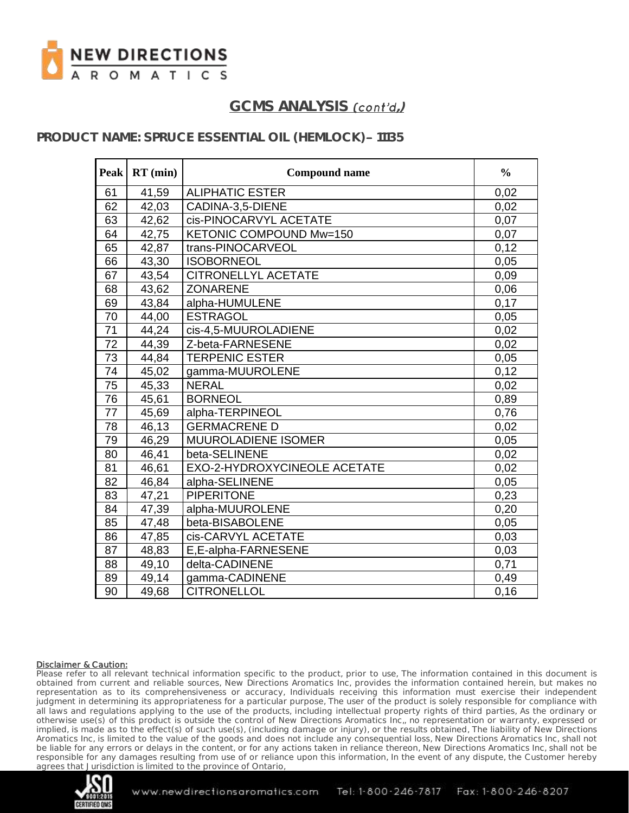

### **PRODUCT NAME: SPRUCE ESSENTIAL OIL (HEMLOCK) - 11135**

| <b>Peak</b> | $RT$ (min) | <b>Compound name</b>         | $\frac{0}{0}$ |
|-------------|------------|------------------------------|---------------|
| 61          | 41,59      | <b>ALIPHATIC ESTER</b>       | 0,02          |
| 62          | 42,03      | CADINA-3,5-DIENE             | 0,02          |
| 63          | 42,62      | cis-PINOCARVYL ACETATE       | 0,07          |
| 64          | 42,75      | KETONIC COMPOUND Mw=150      | 0,07          |
| 65          | 42,87      | trans-PINOCARVEOL            | 0,12          |
| 66          | 43,30      | <b>ISOBORNEOL</b>            | 0,05          |
| 67          | 43,54      | <b>CITRONELLYL ACETATE</b>   | 0,09          |
| 68          | 43,62      | <b>ZONARENE</b>              | 0,06          |
| 69          | 43,84      | alpha-HUMULENE               | 0,17          |
| 70          | 44,00      | <b>ESTRAGOL</b>              | 0,05          |
| 71          | 44,24      | cis-4,5-MUUROLADIENE         | 0,02          |
| 72          | 44,39      | Z-beta-FARNESENE             | 0,02          |
| 73          | 44,84      | <b>TERPENIC ESTER</b>        | 0,05          |
| 74          | 45,02      | gamma-MUUROLENE              | 0,12          |
| 75          | 45,33      | <b>NERAL</b>                 | 0,02          |
| 76          | 45,61      | <b>BORNEOL</b>               | 0,89          |
| 77          | 45,69      | alpha-TERPINEOL              | 0,76          |
| 78          | 46,13      | <b>GERMACRENE D</b>          | 0,02          |
| 79          | 46,29      | MUUROLADIENE ISOMER          | 0,05          |
| 80          | 46,41      | beta-SELINENE                | 0,02          |
| 81          | 46,61      | EXO-2-HYDROXYCINEOLE ACETATE | 0,02          |
| 82          | 46,84      | alpha-SELINENE               | 0,05          |
| 83          | 47,21      | <b>PIPERITONE</b>            | 0,23          |
| 84          | 47,39      | alpha-MUUROLENE              | 0,20          |
| 85          | 47,48      | beta-BISABOLENE              | 0,05          |
| 86          | 47,85      | cis-CARVYL ACETATE           | 0,03          |
| 87          | 48,83      | E,E-alpha-FARNESENE          | 0,03          |
| 88          | 49,10      | delta-CADINENE               | 0,71          |
| 89          | 49,14      | gamma-CADINENE               | 0,49          |
| 90          | 49,68      | <b>CITRONELLOL</b>           | 0,16          |

### Disclaimer & Caution:

Please refer to all relevant technical information specific to the product, prior to use, The information contained in this document is obtained from current and reliable sources, New Directions Aromatics Inc, provides the information contained herein, but makes no representation as to its comprehensiveness or accuracy, Individuals receiving this information must exercise their independent judgment in determining its appropriateness for a particular purpose, The user of the product is solely responsible for compliance with all laws and regulations applying to the use of the products, including intellectual property rights of third parties, As the ordinary or otherwise use(s) of this product is outside the control of New Directions Aromatics Inc,, no representation or warranty, expressed or implied, is made as to the effect(s) of such use(s), (including damage or injury), or the results obtained, The liability of New Directions Aromatics Inc, is limited to the value of the goods and does not include any consequential loss, New Directions Aromatics Inc, shall not be liable for any errors or delays in the content, or for any actions taken in reliance thereon, New Directions Aromatics Inc, shall not be responsible for any damages resulting from use of or reliance upon this information, In the event of any dispute, the Customer hereby agrees that Jurisdiction is limited to the province of Ontario,